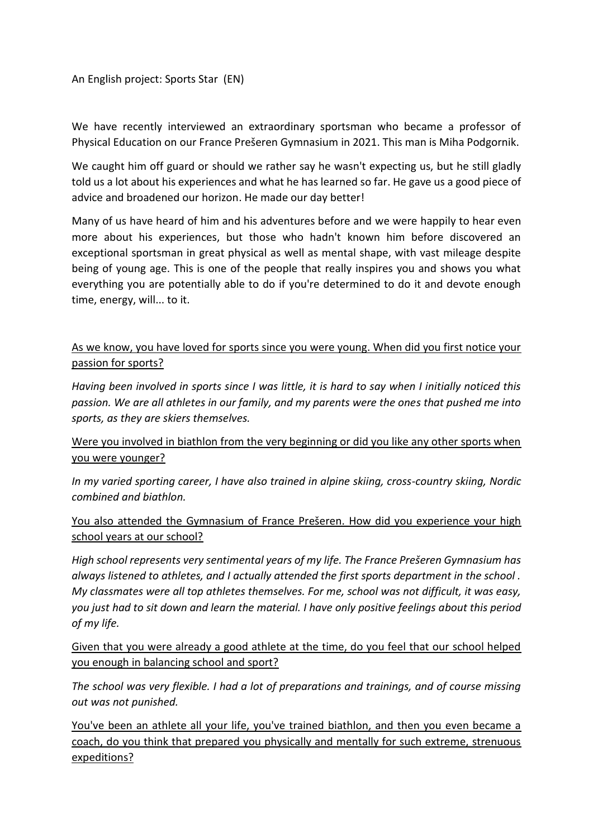## An English project: Sports Star (EN)

We have recently interviewed an extraordinary sportsman who became a professor of Physical Education on our France Prešeren Gymnasium in 2021. This man is Miha Podgornik.

We caught him off guard or should we rather say he wasn't expecting us, but he still gladly told us a lot about his experiences and what he has learned so far. He gave us a good piece of advice and broadened our horizon. He made our day better!

Many of us have heard of him and his adventures before and we were happily to hear even more about his experiences, but those who hadn't known him before discovered an exceptional sportsman in great physical as well as mental shape, with vast mileage despite being of young age. This is one of the people that really inspires you and shows you what everything you are potentially able to do if you're determined to do it and devote enough time, energy, will... to it.

## As we know, you have loved for sports since you were young. When did you first notice your passion for sports?

*Having been involved in sports since I was little, it is hard to say when I initially noticed this passion. We are all athletes in our family, and my parents were the ones that pushed me into sports, as they are skiers themselves.*

## Were you involved in biathlon from the very beginning or did you like any other sports when you were younger?

*In my varied sporting career, I have also trained in alpine skiing, cross-country skiing, Nordic combined and biathlon.*

You also attended the Gymnasium of France Prešeren. How did you experience your high school years at our school?

*High school represents very sentimental years of my life. The France Prešeren Gymnasium has always listened to athletes, and I actually attended the first sports department in the school . My classmates were all top athletes themselves. For me, school was not difficult, it was easy, you just had to sit down and learn the material. I have only positive feelings about this period of my life.*

Given that you were already a good athlete at the time, do you feel that our school helped you enough in balancing school and sport?

*The school was very flexible. I had a lot of preparations and trainings, and of course missing out was not punished.*

You've been an athlete all your life, you've trained biathlon, and then you even became a coach, do you think that prepared you physically and mentally for such extreme, strenuous expeditions?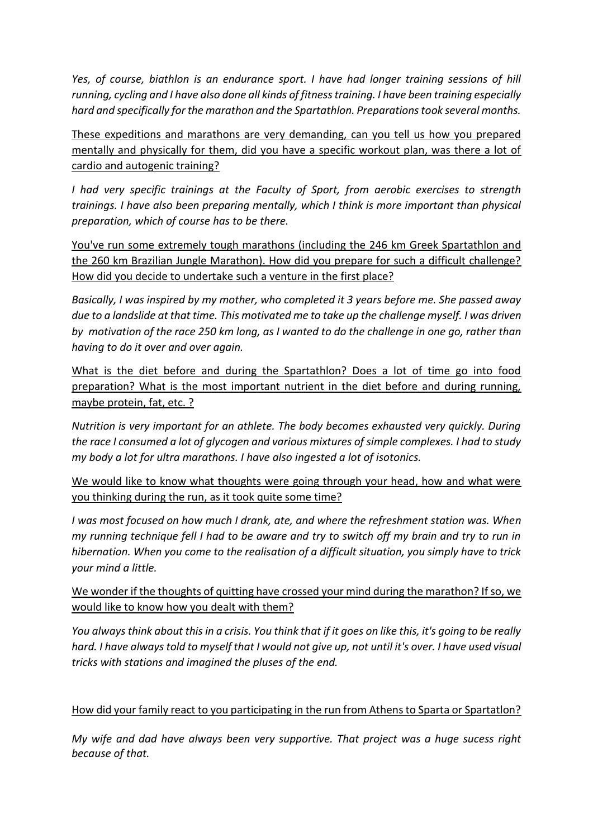*Yes, of course, biathlon is an endurance sport. I have had longer training sessions of hill running, cycling and I have also done all kinds of fitness training. I have been training especially hard and specifically for the marathon and the Spartathlon. Preparations took several months.*

These expeditions and marathons are very demanding, can you tell us how you prepared mentally and physically for them, did you have a specific workout plan, was there a lot of cardio and autogenic training?

*I had very specific trainings at the Faculty of Sport, from aerobic exercises to strength trainings. I have also been preparing mentally, which I think is more important than physical preparation, which of course has to be there.*

You've run some extremely tough marathons (including the 246 km Greek Spartathlon and the 260 km Brazilian Jungle Marathon). How did you prepare for such a difficult challenge? How did you decide to undertake such a venture in the first place?

*Basically, I was inspired by my mother, who completed it 3 years before me. She passed away due to a landslide at that time. This motivated me to take up the challenge myself. I was driven by motivation of the race 250 km long, as I wanted to do the challenge in one go, rather than having to do it over and over again.*

What is the diet before and during the Spartathlon? Does a lot of time go into food preparation? What is the most important nutrient in the diet before and during running, maybe protein, fat, etc. ?

*Nutrition is very important for an athlete. The body becomes exhausted very quickly. During the race I consumed a lot of glycogen and various mixtures of simple complexes. I had to study my body a lot for ultra marathons. I have also ingested a lot of isotonics.*

We would like to know what thoughts were going through your head, how and what were you thinking during the run, as it took quite some time?

*I was most focused on how much I drank, ate, and where the refreshment station was. When my running technique fell I had to be aware and try to switch off my brain and try to run in hibernation. When you come to the realisation of a difficult situation, you simply have to trick your mind a little.*

We wonder if the thoughts of quitting have crossed your mind during the marathon? If so, we would like to know how you dealt with them?

*You always think about this in a crisis. You think that if it goes on like this, it's going to be really hard. I have always told to myself that I would not give up, not until it's over. I have used visual tricks with stations and imagined the pluses of the end.*

## How did your family react to you participating in the run from Athens to Sparta or Spartatlon?

*My wife and dad have always been very supportive. That project was a huge sucess right because of that.*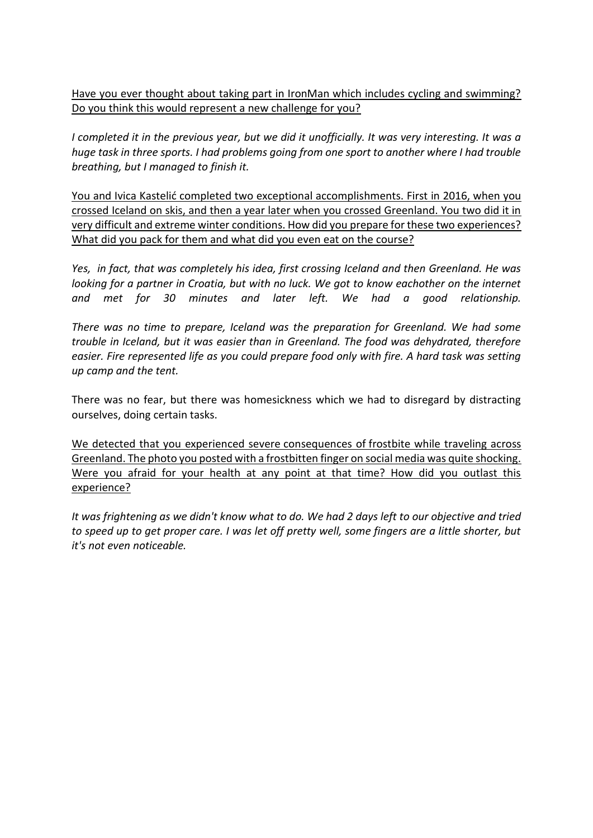Have you ever thought about taking part in IronMan which includes cycling and swimming? Do you think this would represent a new challenge for you?

*I completed it in the previous year, but we did it unofficially. It was very interesting. It was a huge task in three sports. I had problems going from one sport to another where I had trouble breathing, but I managed to finish it.*

You and Ivica Kastelić completed two exceptional accomplishments. First in 2016, when you crossed Iceland on skis, and then a year later when you crossed Greenland. You two did it in very difficult and extreme winter conditions. How did you prepare for these two experiences? What did you pack for them and what did you even eat on the course?

*Yes, in fact, that was completely his idea, first crossing Iceland and then Greenland. He was looking for a partner in Croatia, but with no luck. We got to know eachother on the internet and met for 30 minutes and later left. We had a good relationship.*

*There was no time to prepare, Iceland was the preparation for Greenland. We had some trouble in Iceland, but it was easier than in Greenland. The food was dehydrated, therefore easier. Fire represented life as you could prepare food only with fire. A hard task was setting up camp and the tent.*

There was no fear, but there was homesickness which we had to disregard by distracting ourselves, doing certain tasks.

We detected that you experienced severe consequences of frostbite while traveling across Greenland. The photo you posted with a frostbitten finger on social media was quite shocking. Were you afraid for your health at any point at that time? How did you outlast this experience?

*It was frightening as we didn't know what to do. We had 2 days left to our objective and tried to speed up to get proper care. I was let off pretty well, some fingers are a little shorter, but it's not even noticeable.*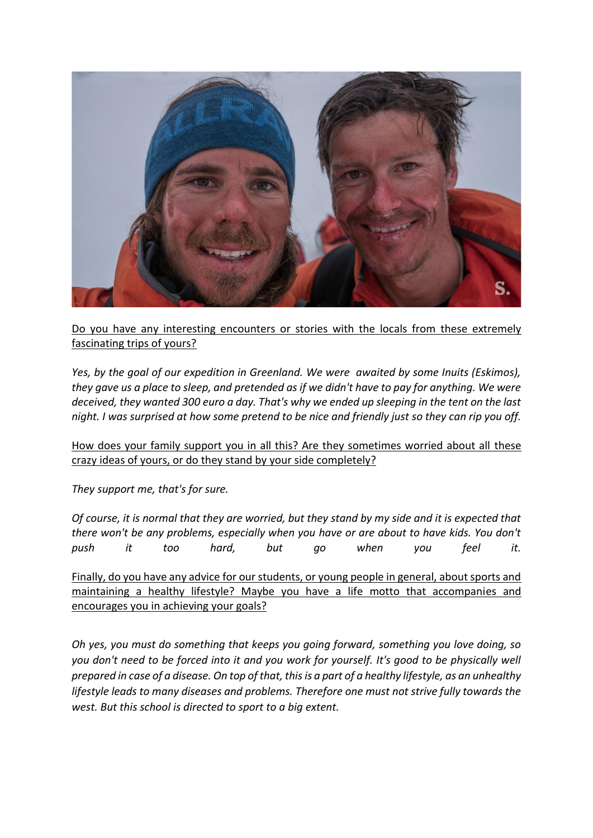

Do you have any interesting encounters or stories with the locals from these extremely fascinating trips of yours?

*Yes, by the goal of our expedition in Greenland. We were awaited by some Inuits (Eskimos), they gave us a place to sleep, and pretended as if we didn't have to pay for anything. We were deceived, they wanted 300 euro a day. That's why we ended up sleeping in the tent on the last night. I was surprised at how some pretend to be nice and friendly just so they can rip you off.*

How does your family support you in all this? Are they sometimes worried about all these crazy ideas of yours, or do they stand by your side completely?

*They support me, that's for sure.*

*Of course, it is normal that they are worried, but they stand by my side and it is expected that there won't be any problems, especially when you have or are about to have kids. You don't push it too hard, but go when you feel it.*

Finally, do you have any advice for our students, or young people in general, about sports and maintaining a healthy lifestyle? Maybe you have a life motto that accompanies and encourages you in achieving your goals?

*Oh yes, you must do something that keeps you going forward, something you love doing, so you don't need to be forced into it and you work for yourself. It's good to be physically well prepared in case of a disease. On top of that, this is a part of a healthy lifestyle, as an unhealthy lifestyle leads to many diseases and problems. Therefore one must not strive fully towards the west. But this school is directed to sport to a big extent.*